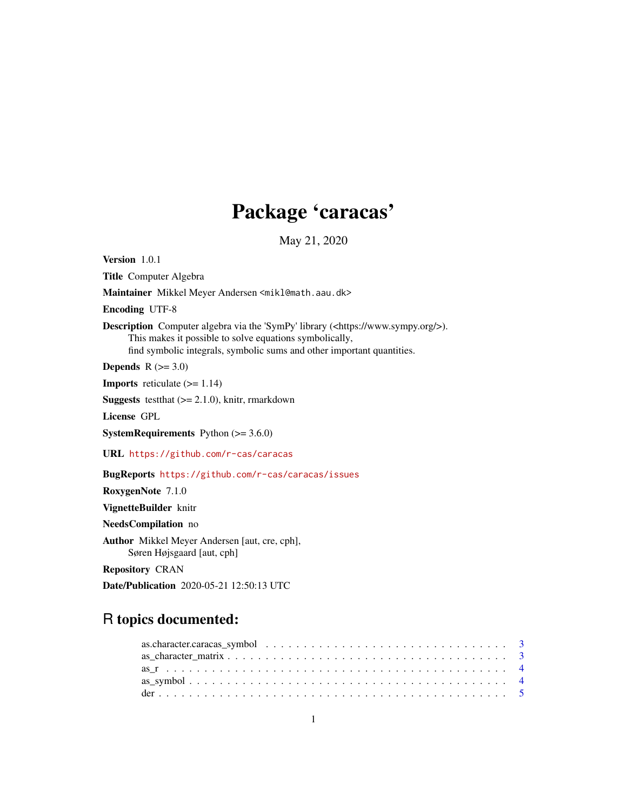# Package 'caracas'

May 21, 2020

<span id="page-0-0"></span>Version 1.0.1 Title Computer Algebra Maintainer Mikkel Meyer Andersen <mikl@math.aau.dk> Encoding UTF-8 Description Computer algebra via the 'SymPy' library (<https://www.sympy.org/>). This makes it possible to solve equations symbolically, find symbolic integrals, symbolic sums and other important quantities. Depends  $R$  ( $>= 3.0$ ) **Imports** reticulate  $(>= 1.14)$ **Suggests** testthat  $(>= 2.1.0)$ , knitr, rmarkdown License GPL SystemRequirements Python (>= 3.6.0) URL <https://github.com/r-cas/caracas> BugReports <https://github.com/r-cas/caracas/issues> RoxygenNote 7.1.0 VignetteBuilder knitr NeedsCompilation no Author Mikkel Meyer Andersen [aut, cre, cph], Søren Højsgaard [aut, cph] Repository CRAN

Date/Publication 2020-05-21 12:50:13 UTC

# R topics documented:

| as.character.caracas_symbol $\ldots \ldots \ldots \ldots \ldots \ldots \ldots \ldots \ldots \ldots \ldots$ |  |  |  |  |  |  |  |  |  |  |  |  |  |  |  |  |  |  |
|------------------------------------------------------------------------------------------------------------|--|--|--|--|--|--|--|--|--|--|--|--|--|--|--|--|--|--|
|                                                                                                            |  |  |  |  |  |  |  |  |  |  |  |  |  |  |  |  |  |  |
|                                                                                                            |  |  |  |  |  |  |  |  |  |  |  |  |  |  |  |  |  |  |
|                                                                                                            |  |  |  |  |  |  |  |  |  |  |  |  |  |  |  |  |  |  |
|                                                                                                            |  |  |  |  |  |  |  |  |  |  |  |  |  |  |  |  |  |  |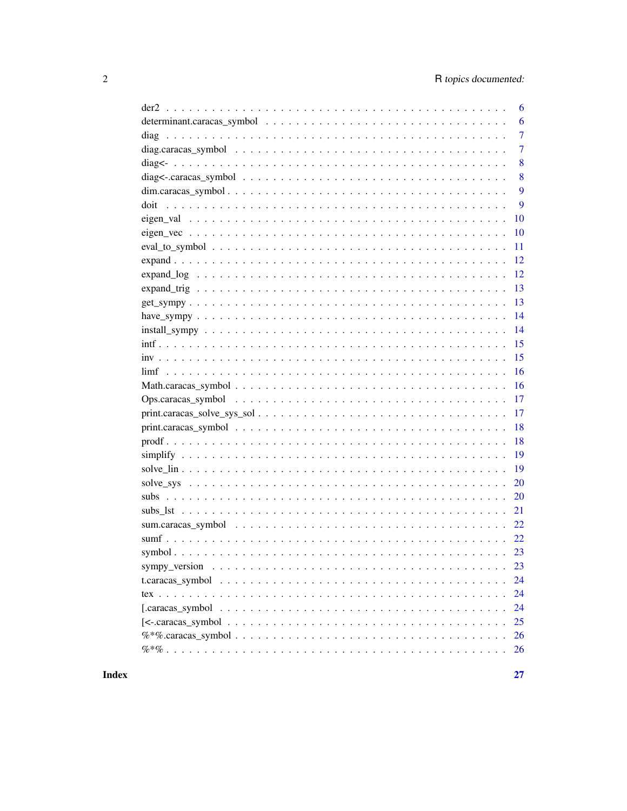| 6              |
|----------------|
| 6              |
| $\overline{7}$ |
| $\overline{7}$ |
| 8              |
| 8              |
| 9              |
| 9              |
| 10             |
| 10             |
| 11             |
| 12             |
| 12             |
| 13             |
| 13             |
| 14             |
| 14             |
| 15             |
| 15             |
| 16             |
| 16             |
| 17             |
| 17             |
| 18             |
| 18             |
| 19             |
| 19             |
| 20             |
| 20             |
| 21             |
|                |
|                |
|                |
| 23             |
| 24             |
| 24             |
| 24             |
| 25             |
| 26             |
| 26             |
|                |

**Index**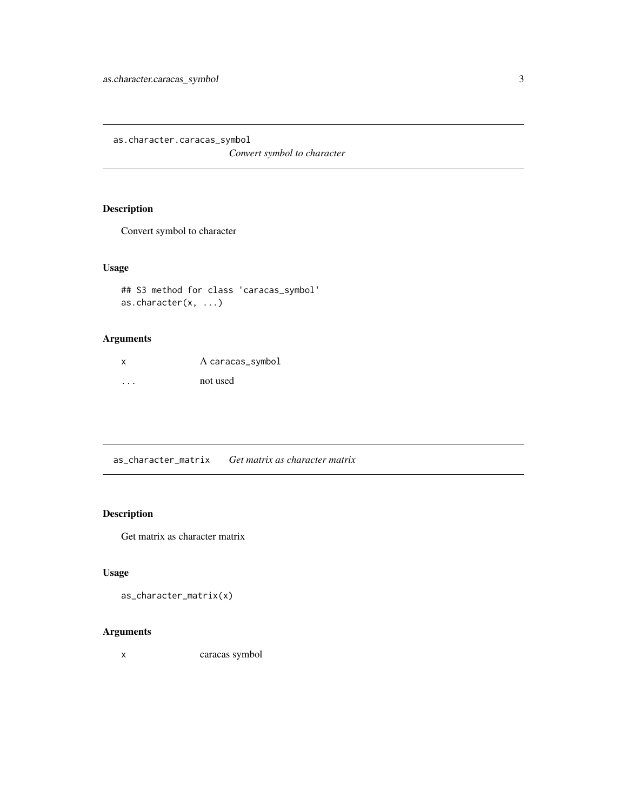<span id="page-2-0"></span>as.character.caracas\_symbol

*Convert symbol to character*

#### Description

Convert symbol to character

#### Usage

```
## S3 method for class 'caracas_symbol'
as.character(x, ...)
```
#### Arguments

| X | A caracas_symbol |
|---|------------------|
| . | not used         |

as\_character\_matrix *Get matrix as character matrix*

#### Description

Get matrix as character matrix

#### Usage

```
as_character_matrix(x)
```
#### Arguments

x caracas symbol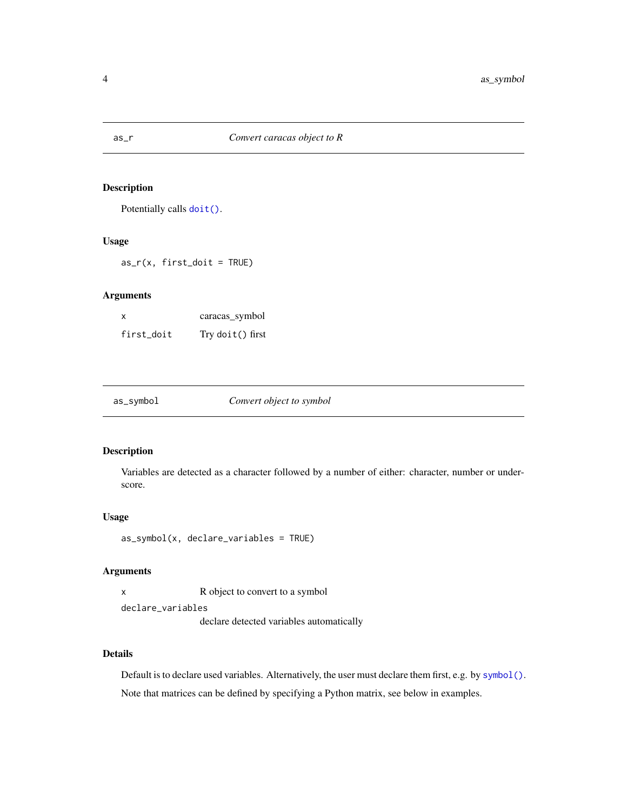<span id="page-3-0"></span>

Potentially calls [doit\(\)](#page-8-1).

#### Usage

 $as_r(x, first\_doit = TRUE)$ 

#### Arguments

| x          | caracas_symbol   |
|------------|------------------|
| first_doit | Try doit() first |

| as_symbol<br>Convert object to symbol |  |
|---------------------------------------|--|
|---------------------------------------|--|

#### Description

Variables are detected as a character followed by a number of either: character, number or underscore.

#### Usage

```
as_symbol(x, declare_variables = TRUE)
```
#### Arguments

x R object to convert to a symbol

declare\_variables

declare detected variables automatically

#### Details

Default is to declare used variables. Alternatively, the user must declare them first, e.g. by [symbol\(\)](#page-22-1). Note that matrices can be defined by specifying a Python matrix, see below in examples.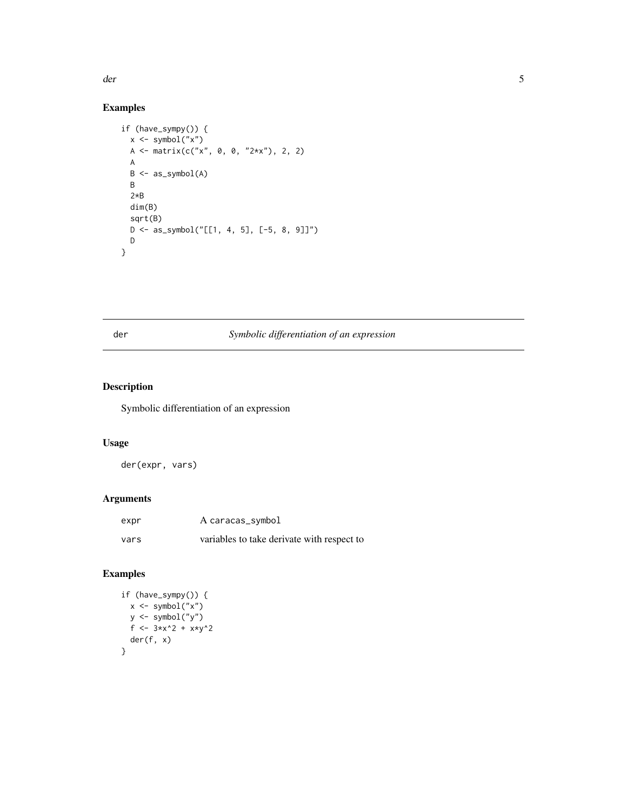<span id="page-4-0"></span>der 5 auch 1986 et al. 2006 et al. 2006 et al. 2006 et al. 2006 et al. 2006 et al. 2006 et al. 2006 et al. 200

#### Examples

```
if (have_sympy()) {
  x <- symbol("x")
  A \leftarrow matrix(c("x", 0, 0, "2*x"), 2, 2)
  A
  B <- as_symbol(A)
  B
  2*B
  dim(B)
  sqrt(B)
  D <- as_symbol("[[1, 4, 5], [-5, 8, 9]]")
  D
}
```
#### der *Symbolic differentiation of an expression*

#### Description

Symbolic differentiation of an expression

#### Usage

der(expr, vars)

#### Arguments

| expr | A caracas_symbol                           |
|------|--------------------------------------------|
| vars | variables to take derivate with respect to |

```
if (have_sympy()) {
 x <- symbol("x")
 y <- symbol("y")
 f <- 3*x^2 + x*y^2
  der(f, x)
}
```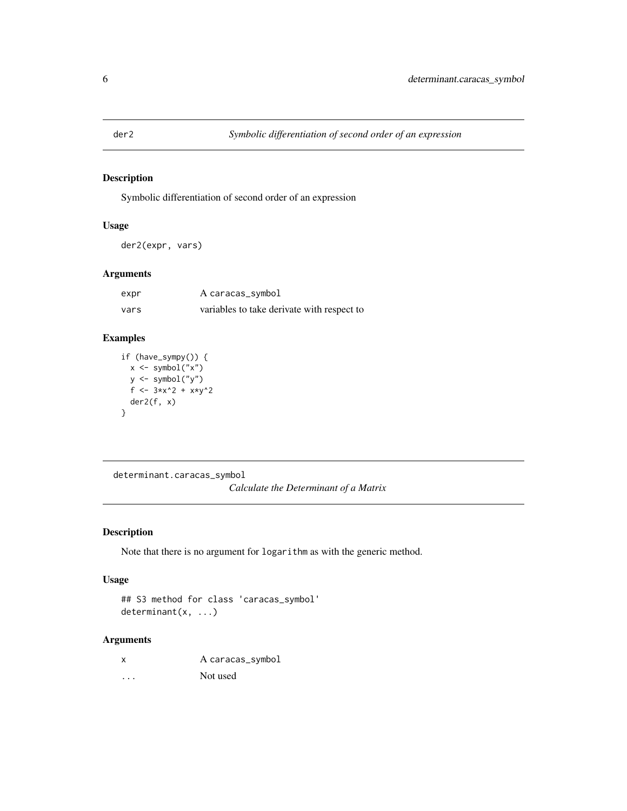<span id="page-5-0"></span>

Symbolic differentiation of second order of an expression

#### Usage

der2(expr, vars)

#### Arguments

| expr | A caracas_symbol                           |
|------|--------------------------------------------|
| vars | variables to take derivate with respect to |

#### Examples

```
if (have_sympy()) {
 x \leq - symbol("x")
 y <- symbol("y")
  f <- 3*x^2 + x*y^2
  der2(f, x)
}
```
determinant.caracas\_symbol *Calculate the Determinant of a Matrix*

#### Description

Note that there is no argument for logarithm as with the generic method.

#### Usage

## S3 method for class 'caracas\_symbol' determinant(x, ...)

#### Arguments

x A caracas\_symbol ... Not used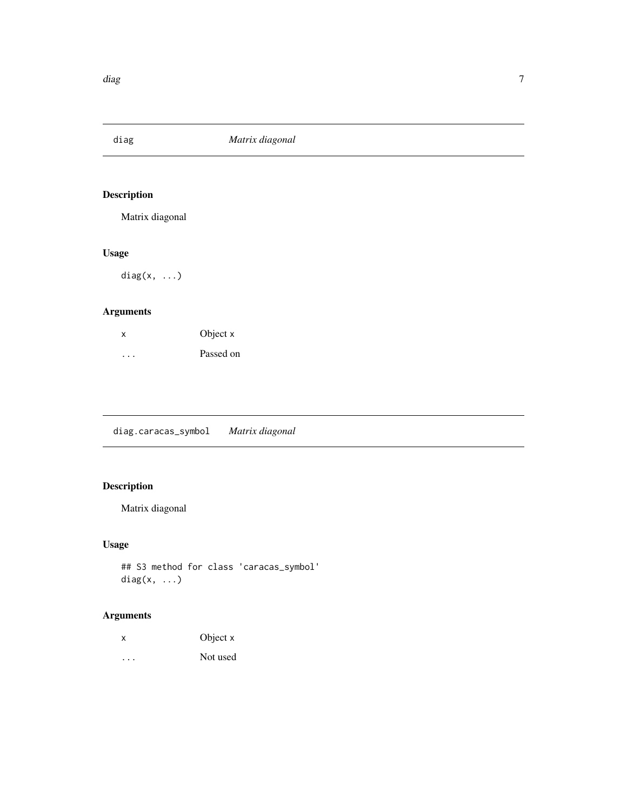<span id="page-6-0"></span>

Matrix diagonal

#### Usage

diag $(x, \ldots)$ 

#### Arguments

| $\boldsymbol{\mathsf{x}}$ | Object x  |
|---------------------------|-----------|
| .                         | Passed on |

diag.caracas\_symbol *Matrix diagonal*

# Description

Matrix diagonal

#### Usage

```
## S3 method for class 'caracas_symbol'
diag(x, ...)
```

| х | Object x |
|---|----------|
| . | Not used |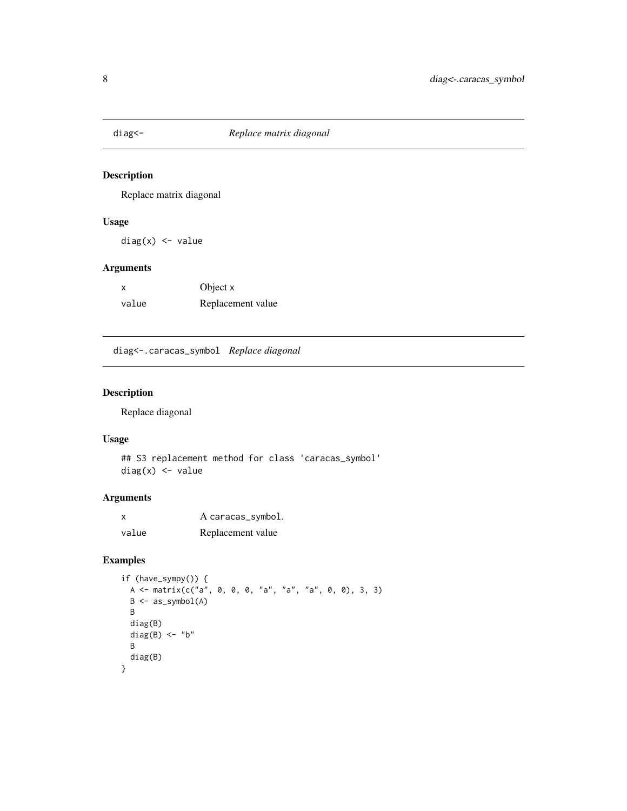<span id="page-7-0"></span>

Replace matrix diagonal

#### Usage

diag(x) <- value

#### Arguments

x Object x value Replacement value

diag<-.caracas\_symbol *Replace diagonal*

#### Description

Replace diagonal

#### Usage

## S3 replacement method for class 'caracas\_symbol' diag(x) <- value

#### Arguments

| X     | A caracas_symbol. |
|-------|-------------------|
| value | Replacement value |

```
if (have_sympy()) {
 A <- matrix(c("a", 0, 0, 0, "a", "a", "a", 0, 0), 3, 3)
 B <- as_symbol(A)
 B
 diag(B)
 diag(B) <- "b"
 B
 diag(B)
}
```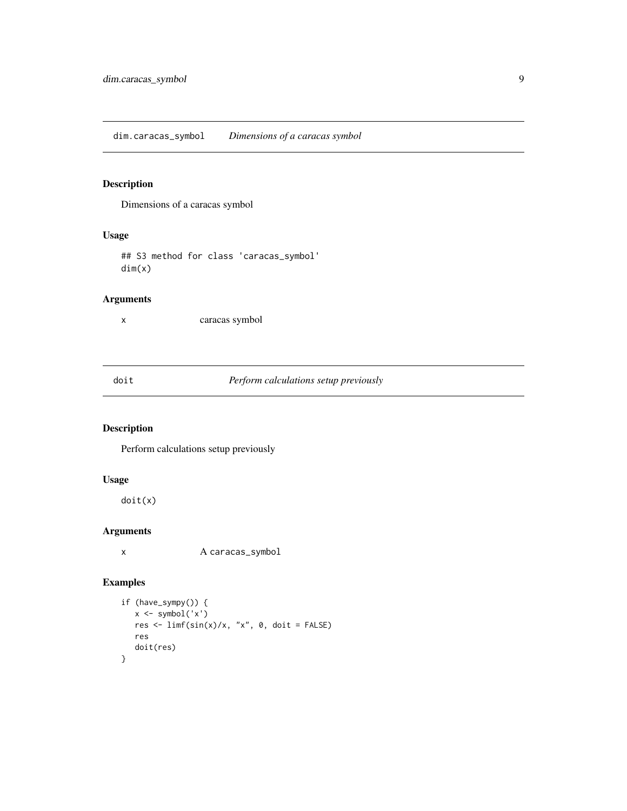<span id="page-8-0"></span>Dimensions of a caracas symbol

#### Usage

## S3 method for class 'caracas\_symbol' dim(x)

#### Arguments

x caracas symbol

#### <span id="page-8-1"></span>doit *Perform calculations setup previously*

#### Description

Perform calculations setup previously

#### Usage

doit(x)

#### Arguments

x A caracas\_symbol

```
if (have_sympy()) {
  x <- symbol('x')
  res <- limf(sin(x)/x, "x", 0, doit = FALSE)
  res
  doit(res)
}
```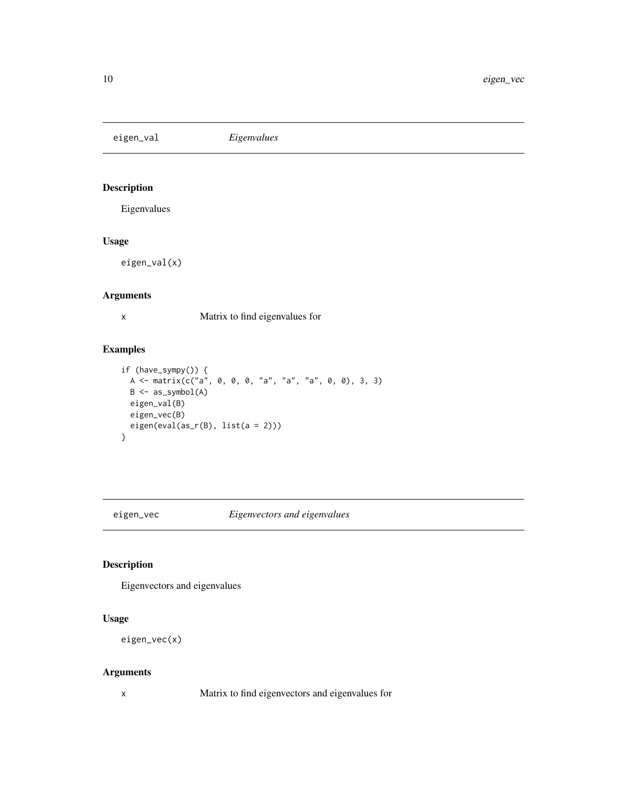<span id="page-9-0"></span>eigen\_val *Eigenvalues*

#### Description

Eigenvalues

#### Usage

eigen\_val(x)

#### Arguments

x Matrix to find eigenvalues for

#### Examples

```
if (have_sympy()) {
  A <- matrix(c("a", 0, 0, 0, "a", "a", "a", 0, 0), 3, 3)
 B \leftarrow as\_symbol(A)eigen_val(B)
  eigen_vec(B)
  eigen(eval(as_r(B), list(a = 2)))
}
```
eigen\_vec *Eigenvectors and eigenvalues*

#### Description

Eigenvectors and eigenvalues

#### Usage

```
eigen_vec(x)
```
#### Arguments

x Matrix to find eigenvectors and eigenvalues for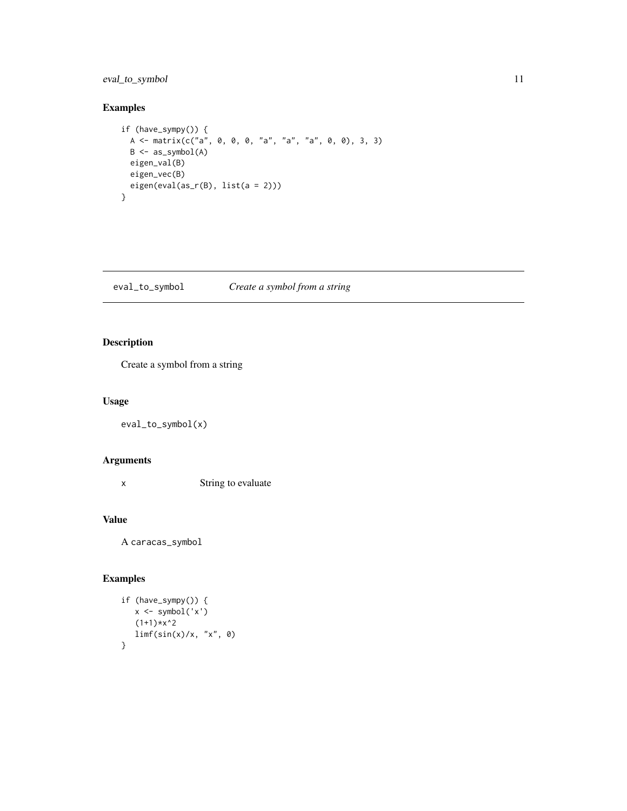#### <span id="page-10-0"></span>eval\_to\_symbol 11

#### Examples

```
if (have_sympy()) {
 A \leq - matrix(c("a", 0, 0, 0, "a", "a", "a", 0, 0), 3, 3)
  B \leftarrow as\_symbol(A)eigen_val(B)
  eigen_vec(B)
  eigen(eval(as_r(B), list(a = 2)))
}
```
eval\_to\_symbol *Create a symbol from a string*

#### Description

Create a symbol from a string

#### Usage

eval\_to\_symbol(x)

#### Arguments

x String to evaluate

#### Value

A caracas\_symbol

```
if (have_sympy()) {
   x <- symbol('x')
   (1+1)*x^2\lim_{x \to 0} f(\sin(x)/x, 'x'', 0)}
```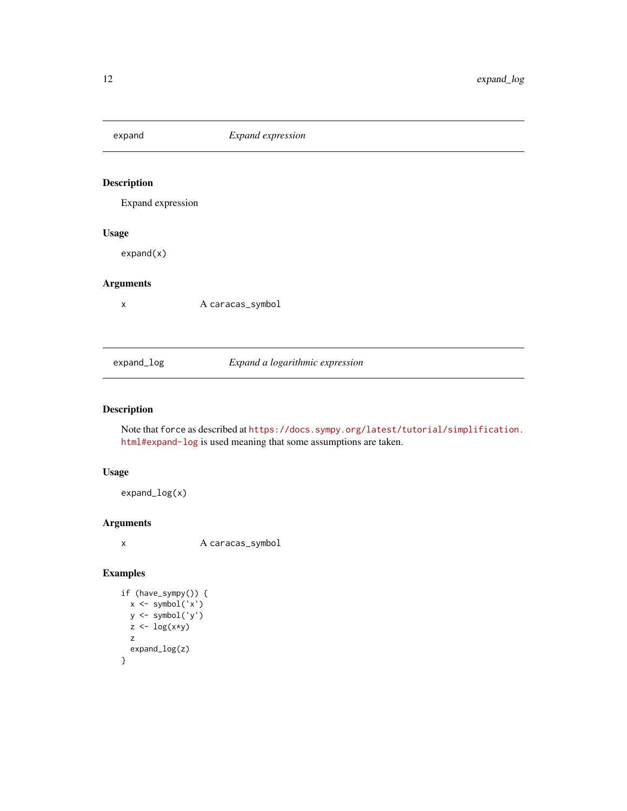<span id="page-11-0"></span>expand *Expand expression* Description Expand expression Usage expand(x) Arguments x A caracas\_symbol expand\_log *Expand a logarithmic expression*

#### Description

Note that force as described at [https://docs.sympy.org/latest/tutorial/simplification.](https://docs.sympy.org/latest/tutorial/simplification.html#expand-log) [html#expand-log](https://docs.sympy.org/latest/tutorial/simplification.html#expand-log) is used meaning that some assumptions are taken.

#### Usage

expand\_log(x)

#### Arguments

x A caracas\_symbol

```
if (have_sympy()) {
  x <- symbol('x')
  y <- symbol('y')
  z \leftarrow \log(x*y)z
  expand_log(z)
}
```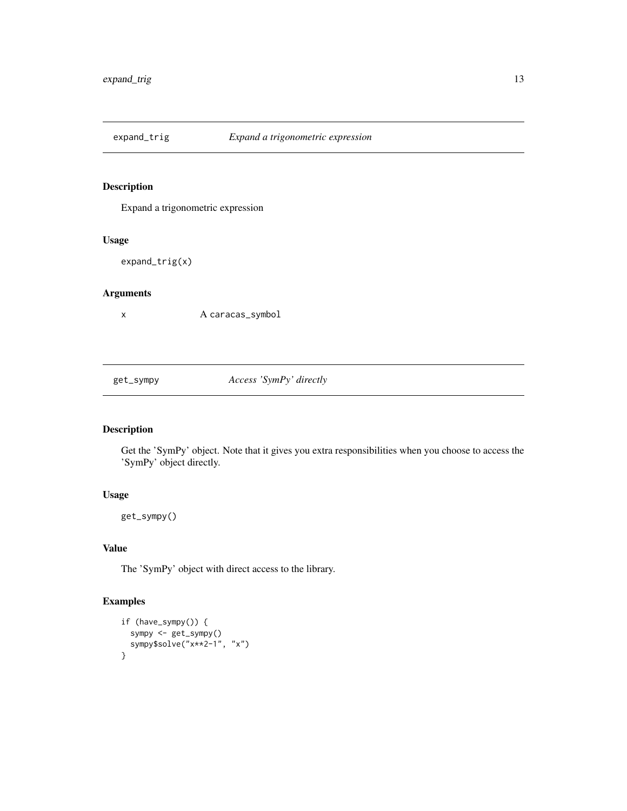<span id="page-12-0"></span>

Expand a trigonometric expression

#### Usage

expand\_trig(x)

#### Arguments

x A caracas\_symbol

get\_sympy *Access 'SymPy' directly*

#### Description

Get the 'SymPy' object. Note that it gives you extra responsibilities when you choose to access the 'SymPy' object directly.

#### Usage

get\_sympy()

#### Value

The 'SymPy' object with direct access to the library.

```
if (have_sympy()) {
  sympy <- get_sympy()
  sympy$solve("x**2-1", "x")
}
```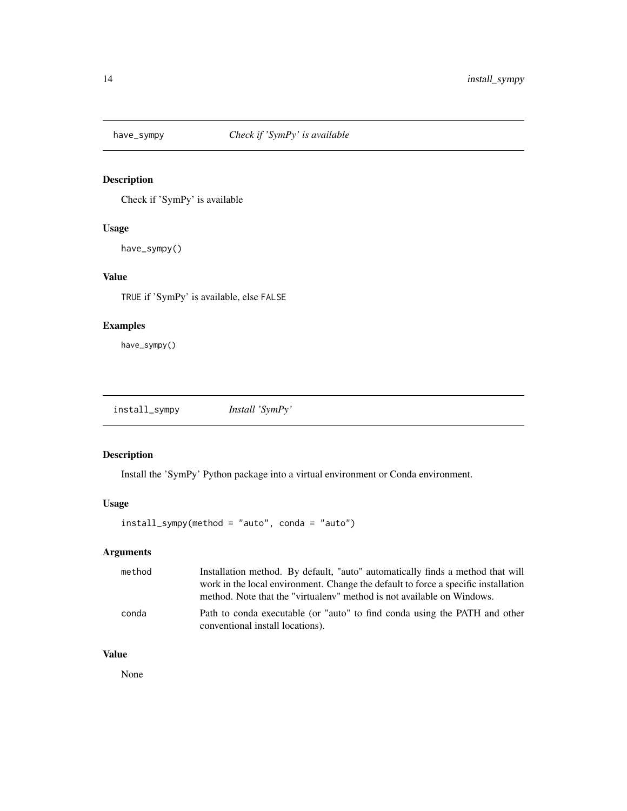<span id="page-13-0"></span>

Check if 'SymPy' is available

#### Usage

have\_sympy()

#### Value

TRUE if 'SymPy' is available, else FALSE

#### Examples

have\_sympy()

install\_sympy *Install 'SymPy'*

#### Description

Install the 'SymPy' Python package into a virtual environment or Conda environment.

#### Usage

install\_sympy(method = "auto", conda = "auto")

#### Arguments

| method | Installation method. By default, "auto" automatically finds a method that will<br>work in the local environment. Change the default to force a specific installation |
|--------|----------------------------------------------------------------------------------------------------------------------------------------------------------------------|
|        | method. Note that the "virtualeny" method is not available on Windows.                                                                                               |
| conda  | Path to conda executable (or "auto" to find conda using the PATH and other<br>conventional install locations).                                                       |

#### Value

None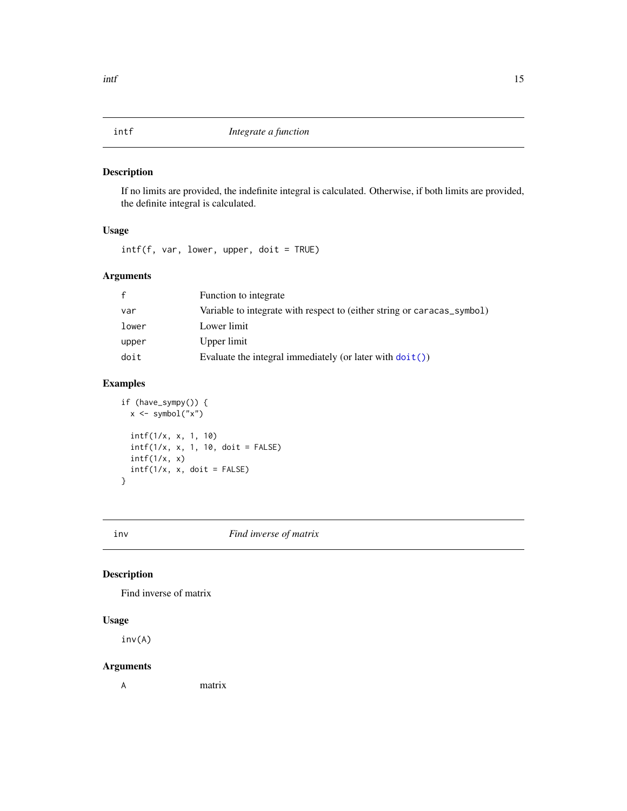<span id="page-14-0"></span>If no limits are provided, the indefinite integral is calculated. Otherwise, if both limits are provided, the definite integral is calculated.

#### Usage

 $\int \int f(f, var, lower, upper, doit = TRUE)$ 

#### Arguments

| $\mathsf{f}$ | Function to integrate                                                   |
|--------------|-------------------------------------------------------------------------|
| var          | Variable to integrate with respect to (either string or caracas_symbol) |
| lower        | Lower limit                                                             |
| upper        | Upper limit                                                             |
| doit         | Evaluate the integral immediately (or later with $dot()$ )              |

#### Examples

```
if (have_sympy()) {
  x \leq - symbol("x")
  intf(1/x, x, 1, 10)
  intf(1/x, x, 1, 10, doit = FALSE)
  intf(1/x, x)\int \int f(1/x, x, \text{ doit} = FALSE)}
```
inv *Find inverse of matrix*

#### Description

Find inverse of matrix

#### Usage

inv(A)

#### Arguments

A matrix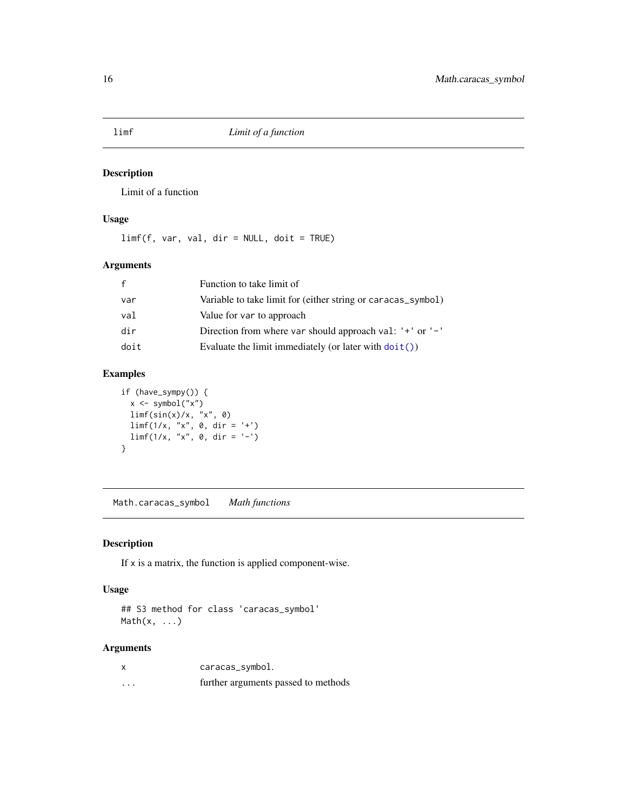<span id="page-15-0"></span>limf *Limit of a function*

#### Description

Limit of a function

#### Usage

limf(f, var, val, dir = NULL, doit = TRUE)

#### Arguments

| f    | Function to take limit of                                       |
|------|-----------------------------------------------------------------|
| var  | Variable to take limit for (either string or caracas_symbol)    |
| val  | Value for var to approach                                       |
| dir  | Direction from where var should approach val: '+' or '-'        |
| doit | Evaluate the limit immediately (or later with $\text{doit}()$ ) |

#### Examples

```
if (have_sympy()) {
  x <- symbol("x")
  limf(sin(x)/x, "x", 0)
  limf(1/x, "x", 0, dir = '+')
  limf(1/x, "x", 0, dir = '-')}
```
Math.caracas\_symbol *Math functions*

#### Description

If x is a matrix, the function is applied component-wise.

#### Usage

## S3 method for class 'caracas\_symbol' Math(x, ...)

| $\boldsymbol{\mathsf{x}}$ | caracas_symbol.                     |
|---------------------------|-------------------------------------|
| $\cdots$                  | further arguments passed to methods |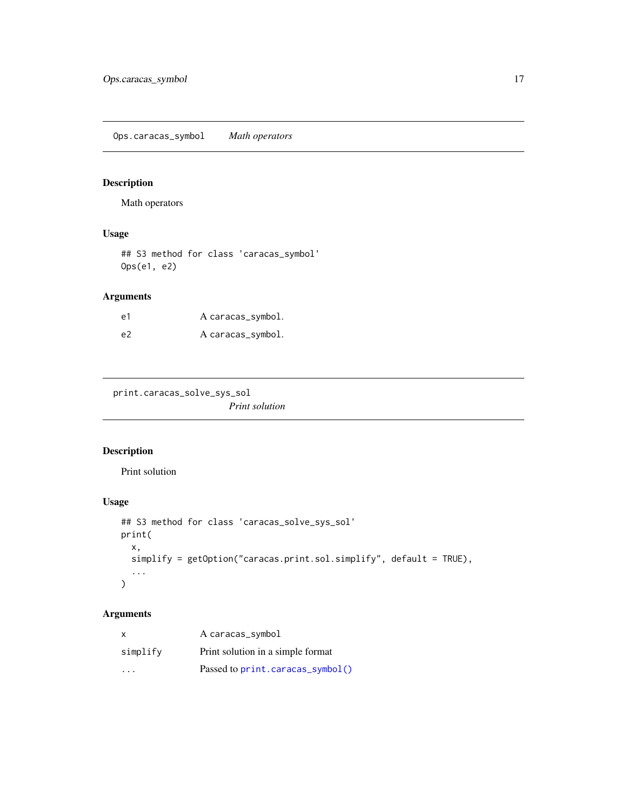<span id="page-16-0"></span>Ops.caracas\_symbol *Math operators*

#### Description

Math operators

#### Usage

## S3 method for class 'caracas\_symbol' Ops(e1, e2)

#### Arguments

| e1 | A caracas_symbol. |
|----|-------------------|
| e2 | A caracas_symbol. |

print.caracas\_solve\_sys\_sol

*Print solution*

#### Description

Print solution

### Usage

```
## S3 method for class 'caracas_solve_sys_sol'
print(
 x,
 simplify = getOption("caracas.print.sol.simplify", default = TRUE),
  ...
)
```

| X        | A caracas_symbol                  |
|----------|-----------------------------------|
| simplify | Print solution in a simple format |
| .        | Passed to print.caracas_symbol()  |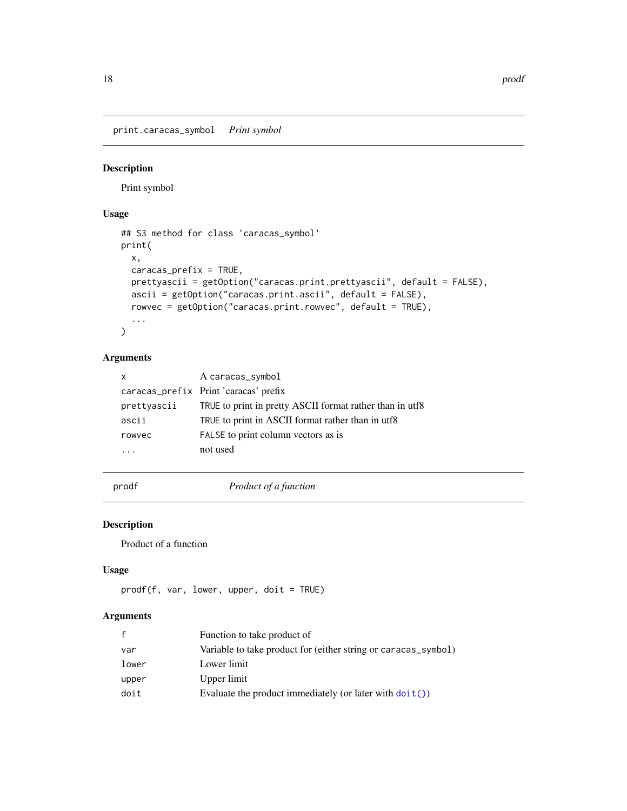<span id="page-17-1"></span><span id="page-17-0"></span>print.caracas\_symbol *Print symbol*

#### Description

Print symbol

#### Usage

```
## S3 method for class 'caracas_symbol'
print(
 x,
 caracas_prefix = TRUE,
 prettyascii = getOption("caracas.print.prettyascii", default = FALSE),
 ascii = getOption("caracas.print.ascii", default = FALSE),
 rowvec = getOption("caracas.print.rowvec", default = TRUE),
  ...
)
```
#### Arguments

| $\mathsf{x}$ | A caracas_symbol                                         |
|--------------|----------------------------------------------------------|
|              | caracas_prefix Print 'caracas' prefix                    |
| prettyascii  | TRUE to print in pretty ASCII format rather than in utf8 |
| ascii        | TRUE to print in ASCII format rather than in utf8        |
| rowvec       | FALSE to print column vectors as is                      |
|              | not used                                                 |

prodf *Product of a function*

#### Description

Product of a function

#### Usage

```
prodf(f, var, lower, upper, doit = TRUE)
```

| $\mathsf{f}$ | Function to take product of                                       |
|--------------|-------------------------------------------------------------------|
| var          | Variable to take product for (either string or caracas_symbol)    |
| lower        | Lower limit                                                       |
| upper        | Upper limit                                                       |
| doit         | Evaluate the product immediately (or later with $\text{doit}()$ ) |
|              |                                                                   |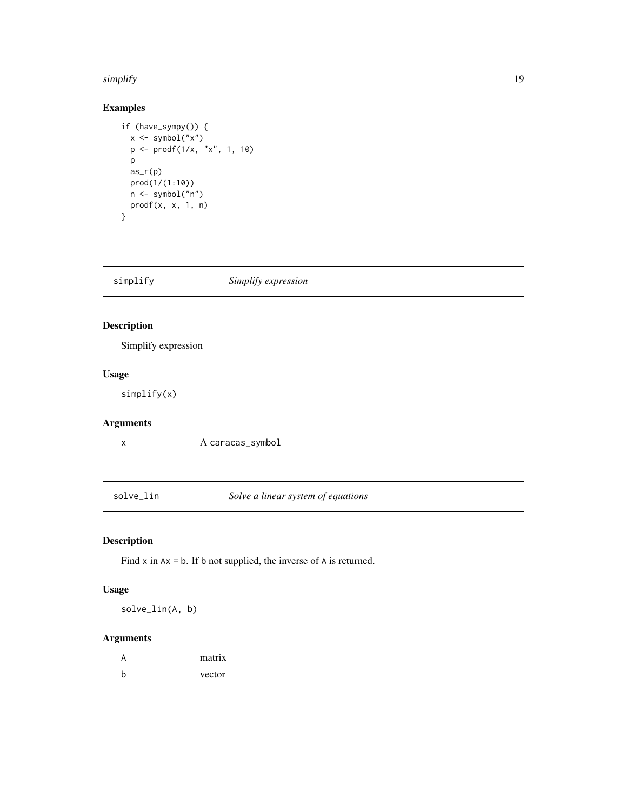#### <span id="page-18-0"></span>simplify the state of the state of the state of the state of the state of the state of the state of the state o

#### Examples

```
if (have_sympy()) {
  x <- symbol("x")
  p \leftarrow \text{prodf}(1/x, "x", 1, 10)p
  as_r(p)
  prod(1/(1:10))
  n <- symbol("n")
  prodf(x, x, 1, n)
}
```
simplify *Simplify expression*

#### Description

Simplify expression

#### Usage

simplify(x)

### Arguments

x A caracas\_symbol

solve\_lin *Solve a linear system of equations*

#### Description

Find  $x$  in  $Ax = b$ . If  $b$  not supplied, the inverse of  $A$  is returned.

#### Usage

solve\_lin(A, b)

| A | matrix |
|---|--------|
| b | vector |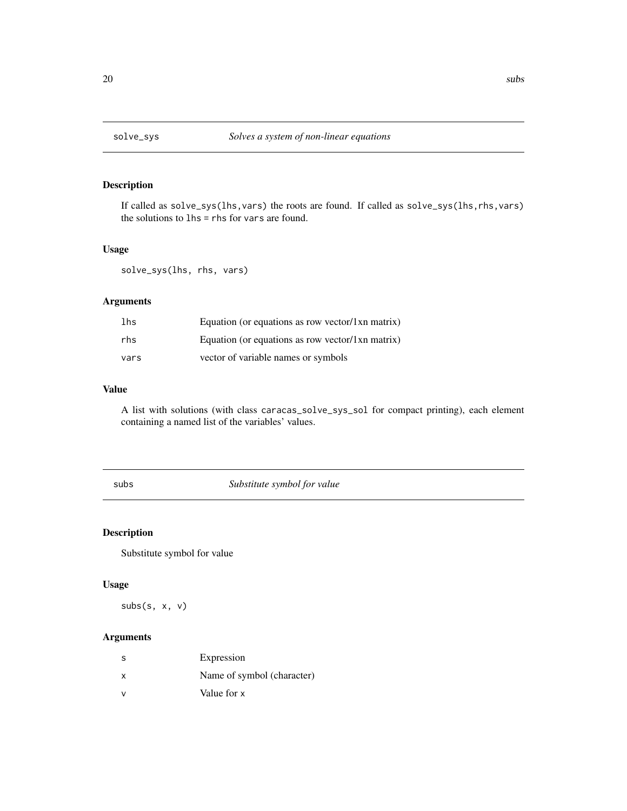<span id="page-19-0"></span>

If called as solve\_sys(lhs,vars) the roots are found. If called as solve\_sys(lhs,rhs,vars) the solutions to lhs = rhs for vars are found.

#### Usage

solve\_sys(lhs, rhs, vars)

#### Arguments

| lhs  | Equation (or equations as row vector/ $1xn$ matrix) |
|------|-----------------------------------------------------|
| rhs  | Equation (or equations as row vector/1xn matrix)    |
| vars | vector of variable names or symbols                 |

#### Value

A list with solutions (with class caracas\_solve\_sys\_sol for compact printing), each element containing a named list of the variables' values.

subs *Substitute symbol for value*

#### Description

Substitute symbol for value

#### Usage

subs(s, x, v)

| -S                        | Expression                 |
|---------------------------|----------------------------|
| $\boldsymbol{\mathsf{x}}$ | Name of symbol (character) |
| v                         | Value for x                |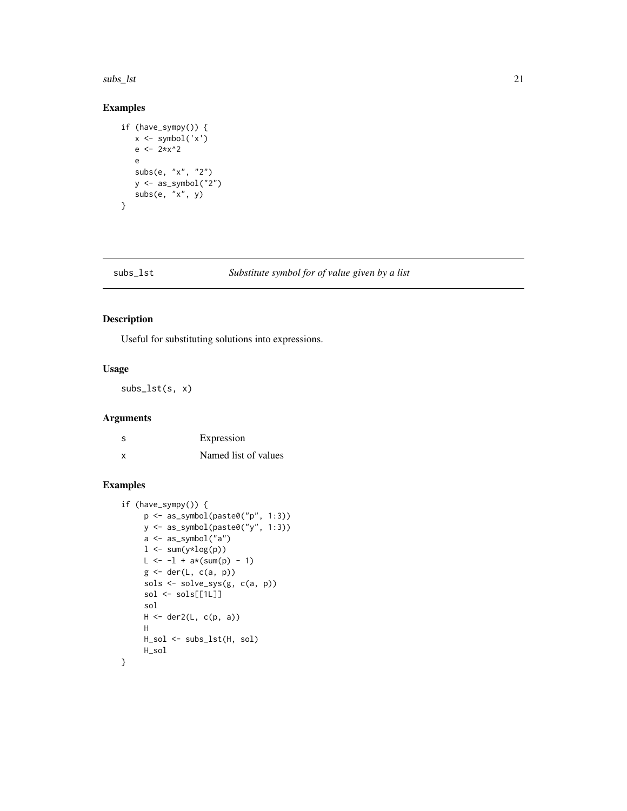<span id="page-20-0"></span> $\frac{1}{21}$  subs\_lst 21

#### Examples

```
if (have_sympy()) {
  x <- symbol('x')
  e <- 2*x^2e
  subs(e, "x", "2")
  y \leftarrow as\_symbol('2")subs(e, "x", y)
}
```
#### subs\_lst *Substitute symbol for of value given by a list*

#### Description

Useful for substituting solutions into expressions.

#### Usage

subs\_lst(s, x)

#### Arguments

| S | Expression           |
|---|----------------------|
| x | Named list of values |

```
if (have_sympy()) {
     p \leftarrow as\_symbol(paste\emptyset("p", 1:3))y <- as_symbol(paste0("y", 1:3))
     a <- as_symbol("a")
     l \leftarrow \text{sum}(y * log(p))L \leftarrow -1 + a*(sum(p) - 1)g <- der(L, c(a, p))
     sols <- solve_sys(g, c(a, p))
     sol <- sols[[1L]]
     sol
     H <- der2(L, c(p, a))
     H
     H_sol <- subs_lst(H, sol)
     H_sol
}
```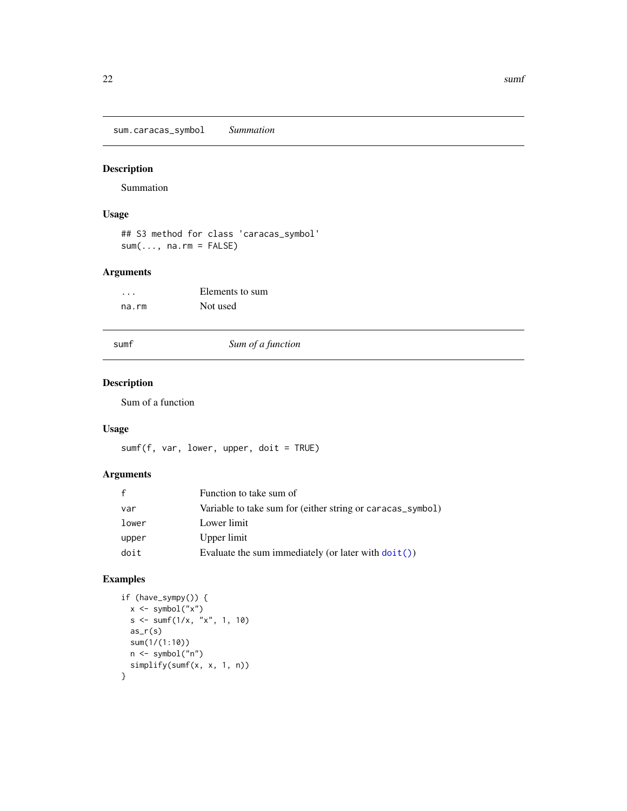<span id="page-21-0"></span>sum.caracas\_symbol *Summation*

#### Description

Summation

#### Usage

## S3 method for class 'caracas\_symbol'  $sum(..., na.rm = FALSE)$ 

#### Arguments

| .     | Elements to sum |
|-------|-----------------|
| na.rm | Not used        |

sumf *Sum of a function*

#### Description

Sum of a function

#### Usage

sumf(f, var, lower, upper, doit = TRUE)

# Arguments

| $\mathbf{f}$ | Function to take sum of                                       |
|--------------|---------------------------------------------------------------|
| var          | Variable to take sum for (either string or caracas_symbol)    |
| lower        | Lower limit                                                   |
| upper        | Upper limit                                                   |
| doit         | Evaluate the sum immediately (or later with $\text{doit}()$ ) |

```
if (have_sympy()) {
  x <- symbol("x")
  s <- sumf(1/x, "x", 1, 10)
 as_r(s)sum(1/(1:10))
 n <- symbol("n")
 simplify(sumf(x, x, 1, n))
}
```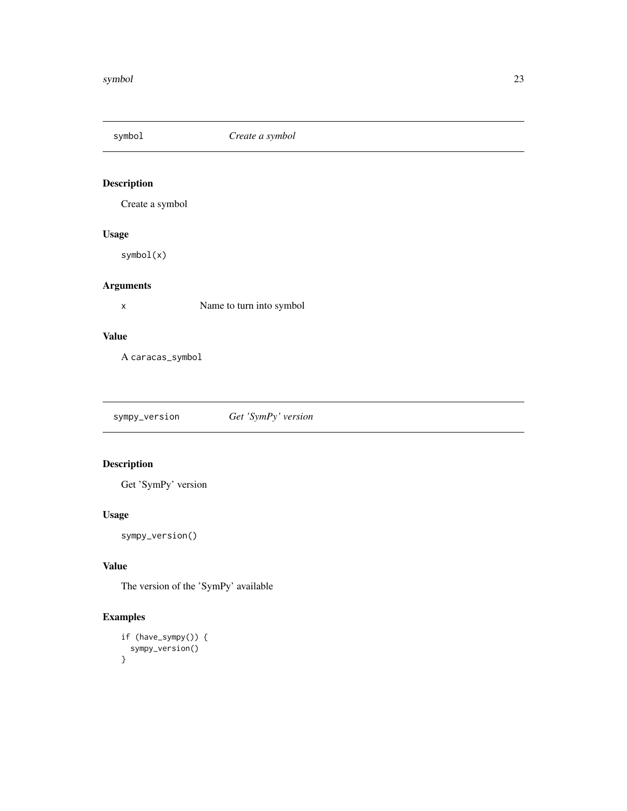<span id="page-22-1"></span><span id="page-22-0"></span>

Create a symbol

#### Usage

symbol(x)

#### Arguments

x Name to turn into symbol

#### Value

A caracas\_symbol

sympy\_version *Get 'SymPy' version*

#### Description

Get 'SymPy' version

#### Usage

sympy\_version()

#### Value

The version of the 'SymPy' available

```
if (have_sympy()) {
 sympy_version()
}
```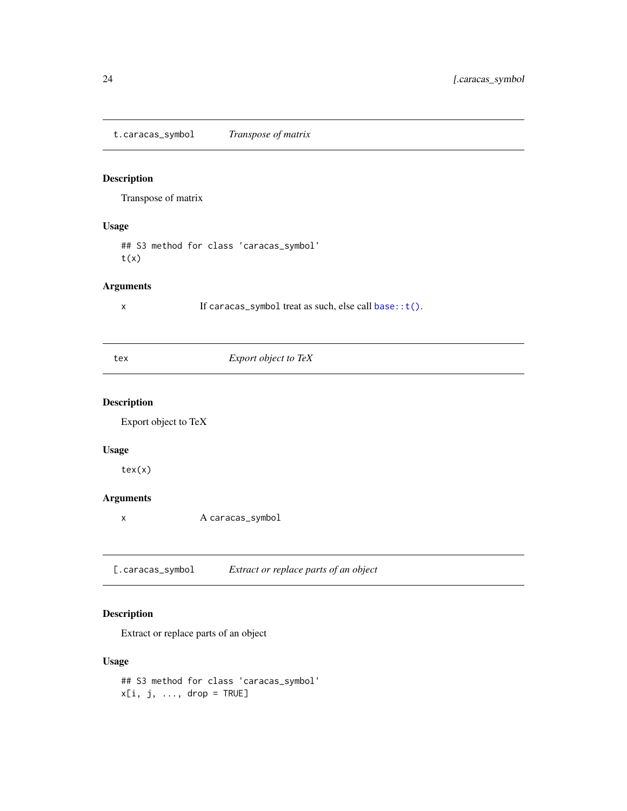<span id="page-23-0"></span>t.caracas\_symbol *Transpose of matrix*

#### Description

Transpose of matrix

#### Usage

## S3 method for class 'caracas\_symbol'  $t(x)$ 

#### Arguments

x If caracas\_symbol treat as such, else call [base::t\(\)](#page-0-0).

|  | ۰<br>I |  |
|--|--------|--|

#### **Export object to TeX**

#### Description

Export object to TeX

#### Usage

tex(x)

#### Arguments

x A caracas\_symbol

[.caracas\_symbol *Extract or replace parts of an object*

#### Description

Extract or replace parts of an object

#### Usage

## S3 method for class 'caracas\_symbol'  $x[i, j, ..., drop = TRUE]$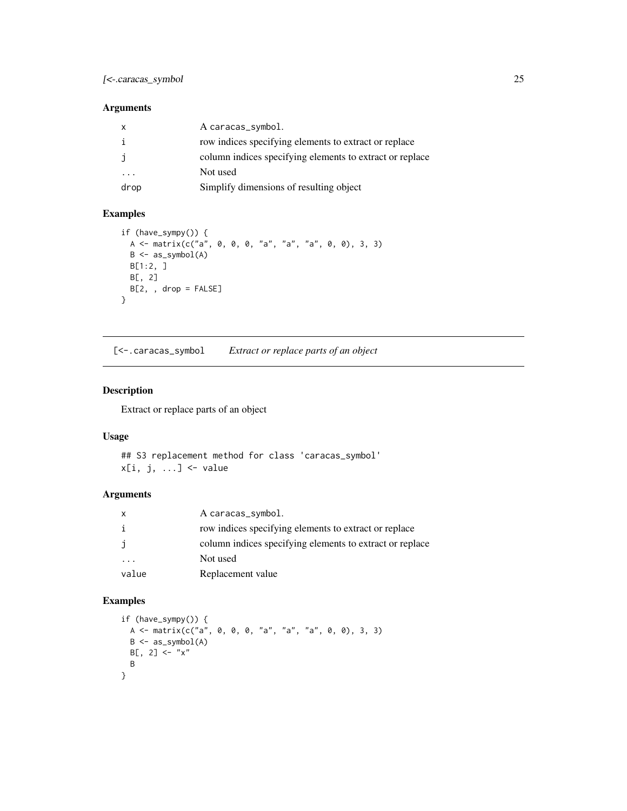#### <span id="page-24-0"></span>[<-.caracas\_symbol 25

#### Arguments

| X       | A caracas_symbol.                                        |
|---------|----------------------------------------------------------|
| i       | row indices specifying elements to extract or replace    |
| j       | column indices specifying elements to extract or replace |
| $\cdot$ | Not used                                                 |
| drop    | Simplify dimensions of resulting object                  |

#### Examples

```
if (have_sympy()) {
 A \leq -\text{ matrix}(c("a", 0, 0, 0, "a", "a", "a", 0, 0), 3, 3)B <- as_symbol(A)
 B[1:2, ]
 B[, 2]
 B[2, , drop = FALSE]
}
```
[<-.caracas\_symbol *Extract or replace parts of an object*

#### Description

Extract or replace parts of an object

#### Usage

## S3 replacement method for class 'caracas\_symbol'  $x[i, j, ...]$  <- value

#### Arguments

| X     | A caracas_symbol.                                        |
|-------|----------------------------------------------------------|
| i     | row indices specifying elements to extract or replace    |
| j     | column indices specifying elements to extract or replace |
|       | Not used                                                 |
| value | Replacement value                                        |

```
if (have_sympy()) {
 A <- matrix(c("a", 0, 0, 0, "a", "a", "a", 0, 0), 3, 3)
 B <- as_symbol(A)
 B[, 2] < - "x"
 B
}
```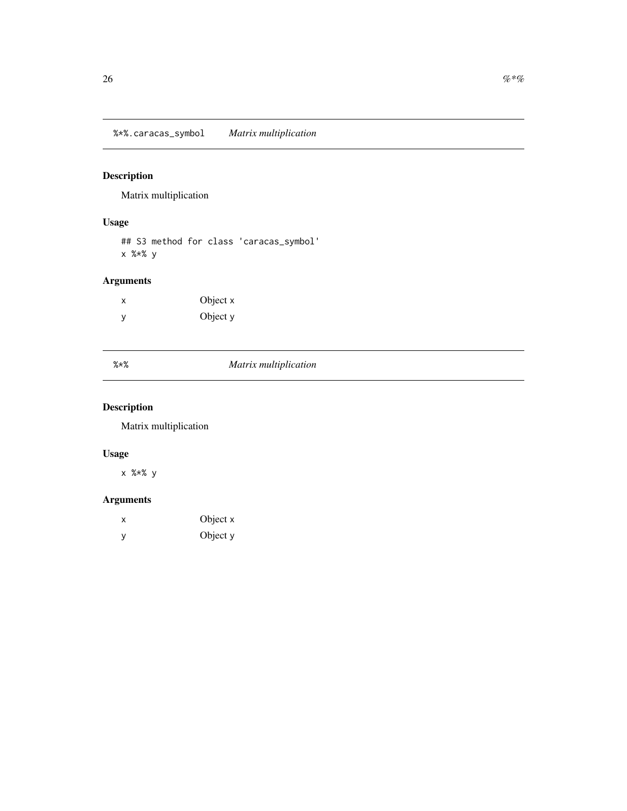<span id="page-25-0"></span>Matrix multiplication

#### Usage

## S3 method for class 'caracas\_symbol' x %\*% y

# Arguments

| X | Object x |
|---|----------|
| У | Object y |

|  | $^{\prime}$ . 01 |  |  |
|--|------------------|--|--|

#### %\*% *Matrix multiplication*

# Description

Matrix multiplication

# Usage

x %\*% y

| х | Object x |
|---|----------|
| v | Object y |